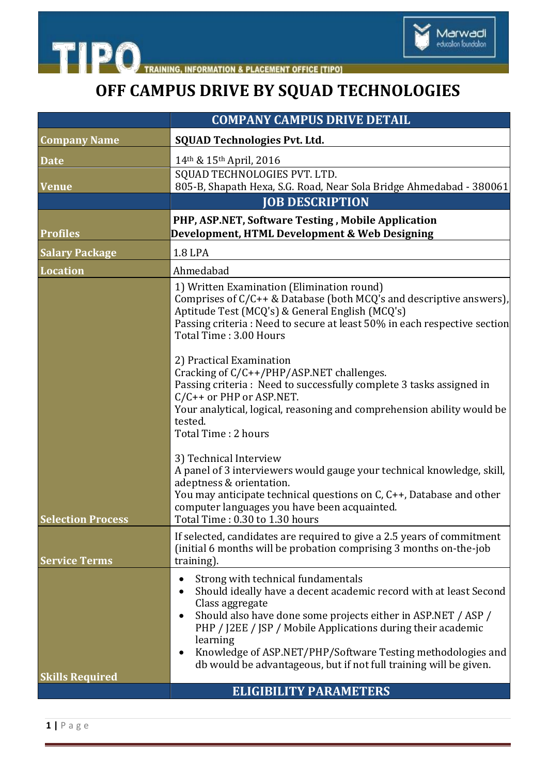

THE **PO** TRAINING, INFORMATION & PLACEMENT OFFICE [TIPO]

## **OFF CAMPUS DRIVE BY SQUAD TECHNOLOGIES**

|                          | <b>COMPANY CAMPUS DRIVE DETAIL</b>                                                                                                                                                                                                                                                                                                                                                                                       |
|--------------------------|--------------------------------------------------------------------------------------------------------------------------------------------------------------------------------------------------------------------------------------------------------------------------------------------------------------------------------------------------------------------------------------------------------------------------|
| <b>Company Name</b>      | <b>SQUAD Technologies Pvt. Ltd.</b>                                                                                                                                                                                                                                                                                                                                                                                      |
| <b>Date</b>              | 14th & 15th April, 2016                                                                                                                                                                                                                                                                                                                                                                                                  |
| <b>Venue</b>             | SQUAD TECHNOLOGIES PVT. LTD.<br>805-B, Shapath Hexa, S.G. Road, Near Sola Bridge Ahmedabad - 380061                                                                                                                                                                                                                                                                                                                      |
|                          | <b>JOB DESCRIPTION</b>                                                                                                                                                                                                                                                                                                                                                                                                   |
|                          | PHP, ASP.NET, Software Testing, Mobile Application                                                                                                                                                                                                                                                                                                                                                                       |
| <b>Profiles</b>          | Development, HTML Development & Web Designing                                                                                                                                                                                                                                                                                                                                                                            |
| <b>Salary Package</b>    | <b>1.8 LPA</b>                                                                                                                                                                                                                                                                                                                                                                                                           |
| <b>Location</b>          | Ahmedabad                                                                                                                                                                                                                                                                                                                                                                                                                |
|                          | 1) Written Examination (Elimination round)<br>Comprises of $C/C++$ & Database (both MCQ's and descriptive answers),<br>Aptitude Test (MCQ's) & General English (MCQ's)<br>Passing criteria : Need to secure at least 50% in each respective section<br>Total Time: 3.00 Hours                                                                                                                                            |
|                          | 2) Practical Examination<br>Cracking of $C/C++/PHP/ASP.NET$ challenges.<br>Passing criteria : Need to successfully complete 3 tasks assigned in<br>C/C++ or PHP or ASP.NET.<br>Your analytical, logical, reasoning and comprehension ability would be<br>tested.<br>Total Time: 2 hours                                                                                                                                  |
| <b>Selection Process</b> | 3) Technical Interview<br>A panel of 3 interviewers would gauge your technical knowledge, skill,<br>adeptness & orientation.<br>You may anticipate technical questions on C, C++, Database and other<br>computer languages you have been acquainted.<br>Total Time: 0.30 to 1.30 hours                                                                                                                                   |
| <b>Service Terms</b>     | If selected, candidates are required to give a 2.5 years of commitment<br>(initial 6 months will be probation comprising 3 months on-the-job<br>training).                                                                                                                                                                                                                                                               |
| <b>Skills Required</b>   | Strong with technical fundamentals<br>$\bullet$<br>Should ideally have a decent academic record with at least Second<br>Class aggregate<br>Should also have done some projects either in ASP.NET / ASP /<br>PHP / J2EE / JSP / Mobile Applications during their academic<br>learning<br>Knowledge of ASP.NET/PHP/Software Testing methodologies and<br>db would be advantageous, but if not full training will be given. |
|                          | <b>ELIGIBILITY PARAMETERS</b>                                                                                                                                                                                                                                                                                                                                                                                            |